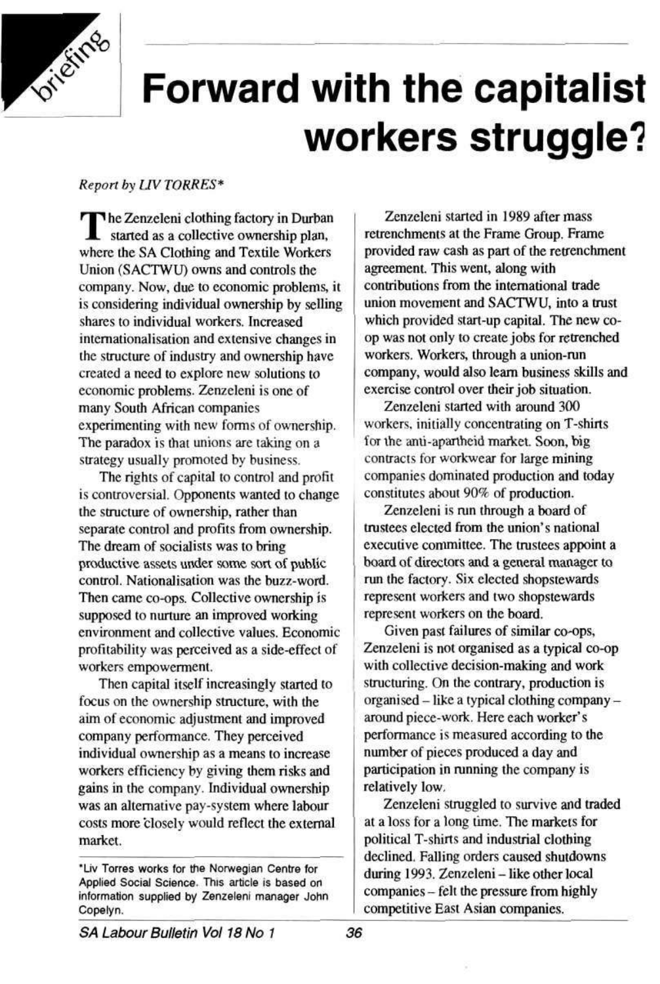

# **Forward with the capitalist workers struggle\*?**

*Report by UV TORRES\** 

The Zenzeleni clothing factory in Durban<br>started as a collective ownership plan, started as a collective ownership plan, where the SA Clothing and Textile Workers Union (SACTWU) owns and controls the company. Now, due to economic problems, it is considering individual ownership by selling shares to individual workers. Increased intcrnationalisation and extensive changes in the structure of industry and ownership have created a need to explore new solutions to economic problems. Zenzeleni is one of many South African companies experimenting with new forms of ownership. The paradox is that unions are taking on a strategy usually promoted by business.

The rights of capital to control and profit is controversial. Opponents wanted to change the structure of ownership, rather than separate control and profits from ownership. The dream of socialists was to bring productive assets under some sort of public control. Nationalisation was the buzz-word. Then came co-ops. Collective ownership is supposed to nurture an improved working environment and collective values. Economic profitability was perceived as a side-effect of workers empowerment.

Zenzeleni started with around 300 workers, initially concentrating on T-shirts for the anu-aparthcid market. Soon, big contracts for workwear for large mining companies dominated production and today constitutes about 90% of production.

Then capital itself increasingly started to focus on the ownership structure, with the aim of economic adjustment and improved company performance. They perceived individual ownership as a means to increase workers efficiency by giving them risks and gains in the company. Individual ownership was an alternative pay-system where labour costs more closely would reflect the external market.

"Liv Torres works for the Norwegian Centre for Applied Social Science. This article is based on information supplied by Zenzeleni manager John Copelyn.

SA Labour Bulletin Vol 18 No 1 36

Zenzeleni started in 1989 after mass retrenchments at the Frame Group. Frame provided raw cash as part of the retrenchment agreement. This went, along with contributions from the international trade union movement and SACTWU, into a trust which provided start-up capital. The new coop was not only to create jobs for retrenched workers. Workers, through a union-run company, would also learn business skills and exercise control over their job situation.

Zenzeleni is run through a board of trustees elected from the union's national executive committee. The trustees appoint a board of directors and a general manager to run the factory. Six elected shopstewards represent workers and two shopstewards represent workers on the board.

Given past failures of similar co-ops, Zenzeleni is not organised as a typical co-op with collective decision-making and work structuring. On the contrary, production is organised - like a typical clothing company around piece-work. Here each worker's performance is measured according to the number of pieces produced a day and participation in running the company is relatively low, Zenzeleni struggled to survive and traded at a loss for a long time. The markets for political T-shirts and industrial clothing declined. Falling orders caused shutdowns during 1993. Zenzeleni - like other local companies - felt the pressure from highly competitive East Asian companies.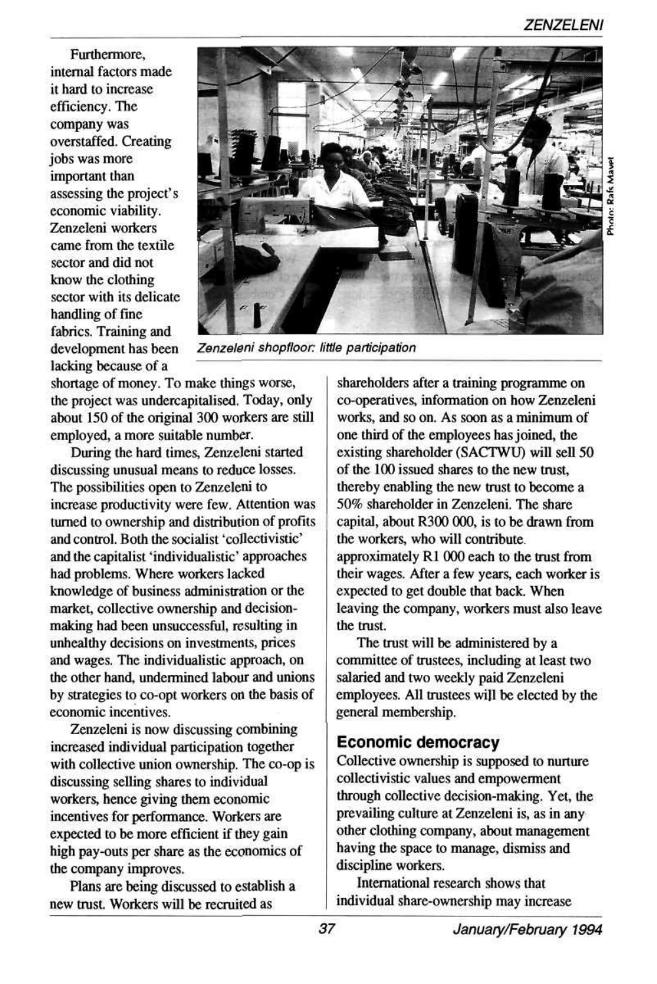# ZENZELENI



Zenzeleni shopfloor: little participation

Furthermore, internal factors made it hard to increase efficiency. The company was overstaffed. Creating jobs was more important than assessing the project's economic viability. Zenzeleni workers came from the textile sector and did not know the clothing sector with its delicate handling of fine fabrics. Training and development has been lacking because of a

shortage of money. To make things worse, the project was undercapitalised. Today, only about 150 of the original 300 workers are still employed, a more suitable number.

During the hard times, Zenzeleni started discussing unusual means to reduce losses. The possibilities open to Zenzeleni to increase productivity were few. Attention was turned to ownership and distribution of profits and control. Both the socialist 'collectivistic' and the capitalist 'individualistic' approaches had problems. Where workers lacked knowledge of business administration or the market, collective ownership and decisionmaking had been unsuccessful, resulting in unhealthy decisions on investments, prices and wages. The individualistic approach, on the other hand, undermined labour and unions by strategies to co-opt workers on the basis of economic incentives.

Zenzeleni is now discussing combining

increased individual participation together with collective union ownership. The co-op is discussing selling shares to individual workers, hence giving them economic incentives for performance. Workers are expected to be more efficient if they gain high pay-outs per share as the economics of the company improves.

Plans are being discussed to establish a new trust. Workers will be recruited as

shareholders after a training programme on co-operatives, information on how Zenzeleni works, and so on. As soon as a minimum of one third of the employees has joined, the existing shareholder (SACTWU) will sell 50 of the 100 issued shares to the new trust, thereby enabling the new trust to become a 50% shareholder in Zenzeleni. The share capital, about R300 000, is to be drawn from the workers, who will contribute, approximately Rl 000 each to the trust from their wages. After a few years, each worker is expected to get double that back. When leaving the company, workers must also leave the trust.

The trust will be administered by a committee of trustees, including at least two salaried and two weekly paid Zenzeleni employees. All trustees will be elected by the general membership.

### **Economic democracy**

Collective ownership is supposed to nurture collectivistic values and empowerment through collective decision-making. Yet, the prevailing culture at Zenzeleni is, as in any other clothing company, about management having the space to manage, dismiss and discipline workers. International research shows that

individual share-ownership may increase

37 January/February 1994